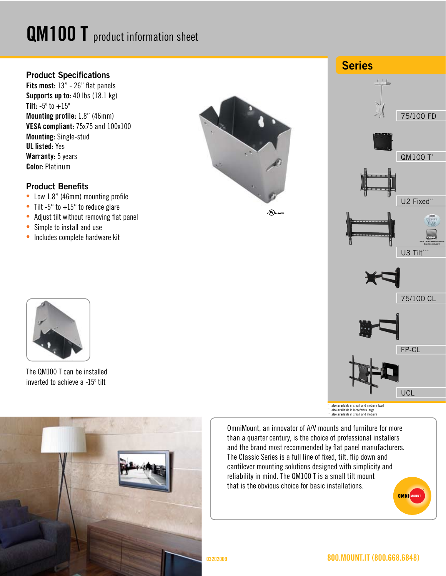# QM100 T product information sheet

### **Product Specifications**

Fits most: 13" - 26" flat panels Supports up to: 40 lbs (18.1 kg) **Tilt:**  $-5^{\circ}$  to  $+15^{\circ}$ Mounting profile: 1.8" (46mm) VESA compliant: 75x75 and 100x100 Mounting: Single-stud UL listed: Yes Warranty: 5 years Color: Platinum

#### **Product Benefits**

- Low 1.8" (46mm) mounting profile
- Tilt  $-5^\circ$  to  $+15^\circ$  to reduce glare
- Adjust tilt without removing flat panel
- Simple to install and use
- Includes complete hardware kit



 $_{c}$  (U) us listed





The QM100 T can be installed inverted to achieve a -15º tilt



OmniMount, an innovator of A/V mounts and furniture for more than a quarter century, is the choice of professional installers and the brand most recommended by flat panel manufacturers. The Classic Series is a full line of fixed, tilt, flip down and cantilever mounting solutions designed with simplicity and reliability in mind. The QM100 T is a small tilt mount that is the obvious choice for basic installations. **OMNI** MOUNT

## 800.MOUNT.IT (800.668.6848)

03202009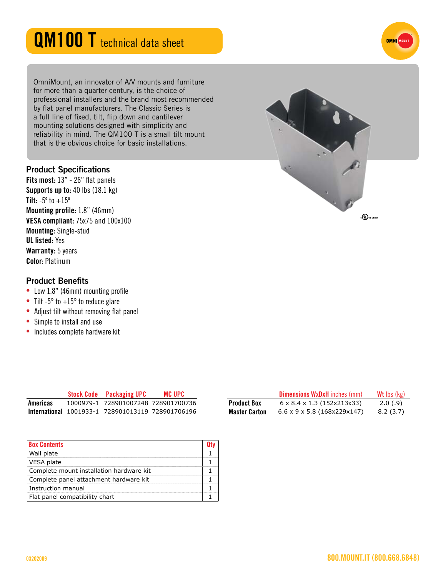# QM100 T technical data sheet

OmniMount, an innovator of A/V mounts and furniture for more than a quarter century, is the choice of professional installers and the brand most recommended by flat panel manufacturers. The Classic Series is a full line of fixed, tilt, flip down and cantilever mounting solutions designed with simplicity and reliability in mind. The QM100 T is a small tilt mount that is the obvious choice for basic installations.

#### **Product Specifications**

Fits most: 13" - 26" flat panels Supports up to: 40 lbs (18.1 kg) **Tilt:**  $-5^{\circ}$  to  $+15^{\circ}$ Mounting profile: 1.8" (46mm) VESA compliant: 75x75 and 100x100 Mounting: Single-stud UL listed: Yes Warranty: 5 years Color: Platinum

#### **Product Benefits**

- Low 1.8" (46mm) mounting profile
- Tilt  $-5^\circ$  to  $+15^\circ$  to reduce glare
- Adjust tilt without removing flat panel
- Simple to install and use
- Includes complete hardware kit

|          | <b>Stock Code</b> Packaging UPC                   | <b>MC UPC</b> |
|----------|---------------------------------------------------|---------------|
| Americas | 1000979-1 728901007248 728901700736               |               |
|          | International 1001933-1 728901013119 728901706196 |               |

| <b>Box Contents</b>                      |  |
|------------------------------------------|--|
| Wall plate                               |  |
| VESA plate                               |  |
| Complete mount installation hardware kit |  |
| Complete panel attachment hardware kit   |  |
| Instruction manual                       |  |
| Flat panel compatibility chart           |  |





**OMNI** MOU